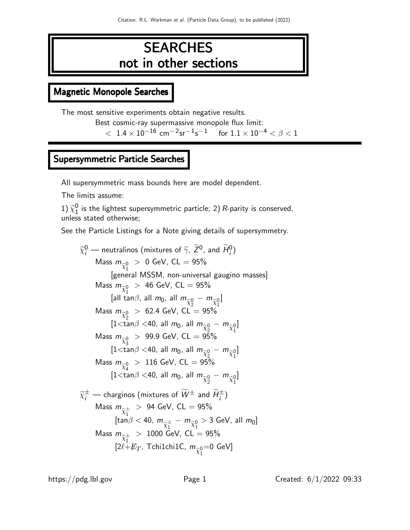# **SEARCHES** not in other sections

# Magnetic Monopole Searches

The most sensitive experiments obtain negative results.

Best cosmic-ray supermassive monopole flux limit:

 $<$  1.4  $\times$  10<sup>-16</sup> cm<sup>-2</sup>sr<sup>-1</sup>s<sup>-1</sup> for 1.1  $\times$  10<sup>-4</sup>  $<$   $\beta$  < 1

# Supersymmetric Particle Searches

All supersymmetric mass bounds here are model dependent.

The limits assume:

1)  $\widetilde{\chi}_1^0$  $\frac{0}{1}$  is the lightest supersymmetric particle; 2) R-parity is conserved, unless stated otherwise;

See the Particle Listings for a Note giving details of supersymmetry.

$$
\tilde{\chi}_{i}^{0}
$$
 — neutralinos (mixtures of  $\tilde{\gamma}$ ,  $\tilde{Z}^{0}$ , and  $\tilde{H}_{i}^{0}$ )  
\nMass  $m_{\tilde{\chi}_{1}^{0}} > 0$  GeV, CL = 95%  
\n[general MSSM, non-universal gaugino masses]  
\nMass  $m_{\tilde{\chi}_{1}^{0}} > 46$  GeV, CL = 95%  
\n[all tan $\beta$ , all  $m_{0}$ , all  $m_{\tilde{\chi}_{2}^{0}} - m_{\tilde{\chi}_{1}^{0}}$ ]  
\nMass  $m_{\tilde{\chi}_{2}^{0}} > 62.4$  GeV, CL = 95%  
\n[1 $\langle \tan \beta \langle 40, \text{ all } m_{0}, \text{ all } m_{\tilde{\chi}_{2}^{0}} - m_{\tilde{\chi}_{1}^{0}}$ ]  
\nMass  $m_{\tilde{\chi}_{3}^{0}} > 99.9$  GeV, CL = 95%  
\n[1 $\langle \tan \beta \langle 40, \text{ all } m_{0}, \text{ all } m_{\tilde{\chi}_{2}^{0}} - m_{\tilde{\chi}_{1}^{0}}$ ]  
\nMass  $m_{\tilde{\chi}_{4}^{0}} > 116$  GeV, CL = 95%  
\n[1 $\langle \tan \beta \langle 40, \text{ all } m_{0}, \text{ all } m_{\tilde{\chi}_{2}^{0}} - m_{\tilde{\chi}_{1}^{0}}$ ]  
\n $\tilde{\chi}_{i}^{\pm}$  — charginos (mixtures of  $\tilde{W}^{\pm}$  and  $\tilde{H}_{i}^{\pm}$ )  
\nMass  $m_{\tilde{\chi}_{1}^{\pm}} > 94$  GeV, CL = 95%  
\n[tan $\beta$   $\langle 40, m_{\tilde{\chi}_{1}^{\pm}} - m_{\tilde{\chi}_{1}^{0}} > 3$  GeV, all  $m_{0}$ ]  
\nMass  $m_{\tilde{\chi}_{1}^{\pm}} > 1000$  GeV, CL = 95%  
\n[2 $\ell$ + $\ell_{T}$ , TchilchilC,  $m_{\tilde{\chi}_{1}^{0}} = 0$  GeV]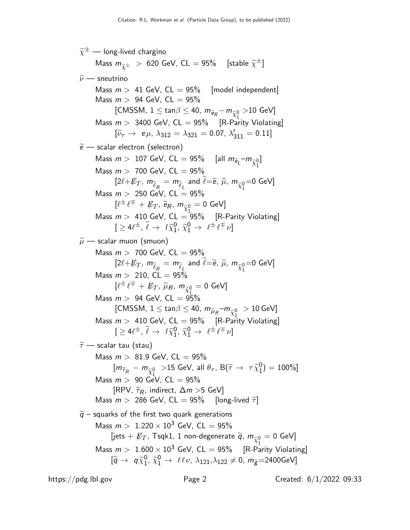$\widetilde{\chi}^\pm$  — long-lived chargino Mass  $m_{\widetilde{\chi}^{\pm}}~>~$  620 GeV, CL  $=$  95%  $~\,$  [stable  $\widetilde{\chi}^{\pm}]$  $\widetilde{\nu}$  — sneutrino Mass  $m > 41$  GeV,  $CL = 95\%$  [model independent] Mass  $m > 94$  GeV,  $CL = 95\%$ [CMSSM,  $1 \leq \tan \beta \leq 40$ ,  $m_{\widetilde{e}_R} - m_{\widetilde{\chi}_1^0}$  $>$ 10 GeV] Mass  $m > 3400$  GeV,  $CL = 95\%$  [R-Parity Violating]  $[\tilde{\nu}_{\tau} \rightarrow e \mu, \lambda_{312} = \lambda_{321} = 0.07, \lambda'_{311} = 0.11]$  $\widetilde{e}$  — scalar electron (selectron) Mass  $m > 107$  GeV, CL  $= 95\%$  [all  $m_{\widetilde{e}_L} - m_{\widetilde{\chi}^0_1}$ ] Mass  $m > 700$  GeV,  $CL = 95\%$  $[2\ell + \cancel{E_T}, m_{\widetilde{\ell}_R} = m_{\widetilde{\ell}_L} \text{ and } \widetilde{\ell} = \widetilde{e}, \widetilde{\mu}, m_{\widetilde{\chi}_1^0}$  $=$ 0 GeV] Mass  $m > 250$  GeV, CL = 95%  $[\ell^\pm\, \ell^\mp\, +\, \not\!\!E_T$ ,  $\widetilde{\mathsf{e}}_R, \, m_{\widetilde{\chi}^0_1} = 0$  GeV] Mass  $m > 410$  GeV, CL  $= 95\%$  [R-Parity Violating]  $[ \geq 4 \ell^{\pm}, \ \tilde{\ell} \rightarrow 1 \tilde{\chi}_{1}^{0}$  $\begin{array}{c} 0, \ \widetilde{\chi}_1^0 \to \ \ell^{\pm} \ell^{\mp} \nu \end{array}$  $\widetilde{\mu}$  — scalar muon (smuon) Mass  $m > 700$  GeV,  $CL = 95%$  $[2\ell + E_T, m_{\widetilde{\ell}_R} = m_{\widetilde{\ell}_L} \text{ and } \widetilde{\ell} = \widetilde{e}, \widetilde{\mu}, m_{\widetilde{\chi}_1^0}$  $=$ 0 GeV] Mass  $m > 210$ ,  $CL = 95\%$  $[\ell^\pm\, \ell^\mp\, +\, \not\!\!E_T^{},\, \widetilde{\mu}_R^{},\, m_{\widetilde{\chi}_1^0}^{} = 0 \; \text{GeV}]$ Mass  $m >$  94 GeV, CL  $=$   $\frac{\lambda_1}{95\%}$ [CMSSM,  $1 \leq \mathsf{tan}\beta \leq 40$ ,  $m_{\widetilde{\mu}_R}$ – $m_{\widetilde{\chi}_1^0}~> 10$  GeV] Mass  $m > 410$  GeV, CL = 95%  $\int_{0}^{\pi}$  [R-Parity Violating]  $[ \geq 4 \ell^{\pm}, \ \tilde{\ell} \rightarrow 1 \tilde{\chi}_{1}^{0}$  $\begin{array}{c} 0, \ \widetilde{\chi}_1^0 \to \ \ell^{\pm} \ell^{\mp} \nu \end{array}$  $\widetilde{\tau}$  — scalar tau (stau) Mass  $m > 81.9$  GeV, CL = 95%  $[m_{\widetilde{\tau}_R} - m_{\widetilde{\chi}_1^0} > 15 \text{ GeV}, \text{ all } \theta_\tau, \text{ B}(\widetilde{\tau} \to \tau \widetilde{\chi}_1^0)$  $\binom{0}{1} = 100\%$ Mass  $m > 90$  GeV, CL = 95% [RPV,  $\widetilde{\tau}_R$ , indirect,  $\Delta m > 5$  GeV] Mass  $m > 286$  GeV, CL = 95% [long-lived  $\tilde{\tau}$ ]  $\widetilde{q}$  – squarks of the first two quark generations Mass  $m > 1.220 \times 10^3$  GeV, CL = 95% [jets  $+ \not\!\!{E}_T$ , Tsqk1, 1 non-degenerate  $\widetilde{q}$ ,  $m_{\widetilde{\chi}_1^0} = 0$  GeV] Mass  $m >~1.600 \times 10^3$  GeV, CL  $= 95\%$   $\quad$  [R-Parity Violating]  $\left[\widetilde{q} \rightarrow q \widetilde{\chi}_{1}^{0}\right]$  $_{1}^{0}$ ,  $\widetilde{\chi}_{1}^{0} \rightarrow$   $\ell\ell\nu$ ,  $\lambda_{121}$ , $\lambda_{122} \neq 0$ ,  $m_{\widetilde{g}}{=}2400$ GeV]

https://pdg.lbl.gov Page 2 Created: 6/1/2022 09:33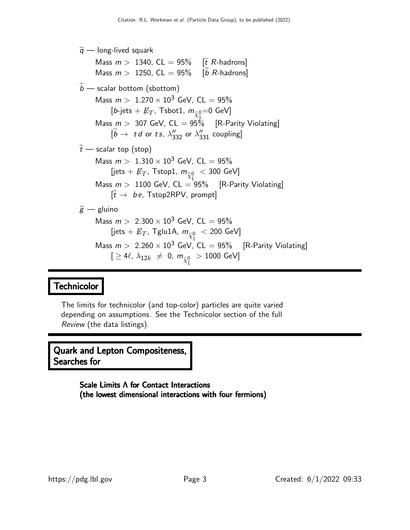## $\widetilde{q}$  — long-lived squark Mass  $m > 1340$ , CL = 95% [ $\tilde{t}$  R-hadrons] Mass  $m > 1250$ , CL = 95% [b R-hadrons]  $\widetilde{b}$  — scalar bottom (sbottom) Mass  $m > 1.270 \times 10^3$  GeV, CL = 95% [b-jets  $+$   $\not\!\! E_T$ , Tsbot1,  $m_{\widetilde{\chi}^0_1}$  $=$ 0 GeV] Mass  $m > 307$  GeV,  $CL = 95\%$  [R-Parity Violating]  $[\widetilde{b} \rightarrow t d \text{ or } t s, \lambda_{332}^{\prime\prime} \text{ or } \lambda_{331}^{\prime\prime} \text{ coupling}]$  $\widetilde{t}$  — scalar top (stop) Mass  $m > 1.310 \times 10^3$  GeV, CL = 95% [jets  $+$   $\not\!\! E_T$ , Tstop1,  $m_{\widetilde\chi_1^0}$  $<$  300 GeV] Mass  $m > 1100$  GeV,  $CL = 95\%$  [R-Parity Violating]  $[\widetilde{t} \rightarrow be, \text{ Tstop2RPV}, \text{ prompt}]$  $\widetilde{g}$  — gluino Mass  $m > 2.300 \times 10^3$  GeV, CL = 95% [jets  $+$   $\not\!\!E_T$ , Tglu1A,  $m_{\widetilde\chi_1^0}~<$  200 GeV] Mass  $m > 2.260 \times 10^3$  GeV, CL  $= 95\%$  [R-Parity Violating]  $[\,\geq 4\ell,\,\lambda_{12k}\,\,\neq\,\,0,\; m_{\widetilde\chi_1^0}$  $> 1000$  GeV]

# Technicolor

The limits for technicolor (and top-color) particles are quite varied depending on assumptions. See the Technicolor section of the full Review (the data listings).

Quark and Lepton Compositeness, Searches for

> Scale Limits Λ for Contact Interactions (the lowest dimensional interactions with four fermions)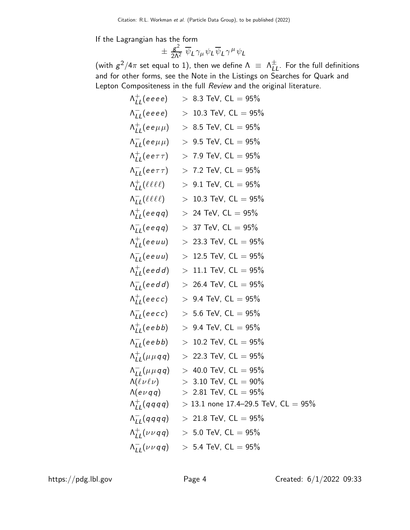If the Lagrangian has the form

$$
\pm \frac{g^2}{2\Lambda^2} \overline{\psi}_L \gamma_\mu \psi_L \overline{\psi}_L \gamma^\mu \psi_L
$$

(with  $g^2/4\pi$  set equal to 1), then we define  $\Lambda \;\equiv\; \Lambda^{\pm}_{LL}$ . For the full definitions and for other forms, see the Note in the Listings on Searches for Quark and Lepton Compositeness in the full Review and the original literature.

| $\Lambda_{II}^{+}$ (eeee)                         | $> 8.3$ TeV, CL $= 95\%$                                       |
|---------------------------------------------------|----------------------------------------------------------------|
| $\Lambda_{II}^{-}$ (eeee)                         | $> 10.3$ TeV, CL = 95%                                         |
| $\Lambda_{II}^{+}$ (ee $\mu\mu$ )                 | $> 8.5$ TeV, CL $= 95\%$                                       |
| $\Lambda_{II}^{-}$ (ee $\mu\mu$ )                 | $> 9.5$ TeV, CL $= 95\%$                                       |
| $\Lambda_{II}^{+}$ (ee $\tau\tau$ )               | $> 7.9$ TeV, CL $= 95\%$                                       |
| $\Lambda_{II}^{-}$ (ee $\tau\tau$ )               | $> 7.2$ TeV, CL = 95%                                          |
| $\Lambda_{II}^{+}(\ell\ell\ell\ell)$              | $> 9.1$ TeV, CL = 95%                                          |
| $\Lambda_{II}^{-}(\ell\ell\ell\ell)$              | $> 10.3$ TeV, CL = 95%                                         |
| $\Lambda_{II}^+$ (eegg)                           | $> 24$ TeV, CL = 95%                                           |
| $\Lambda_{LL}^-$ (eeqq)                           | $> 37$ TeV, CL = 95%                                           |
| $\Lambda_{II}^{+}$ (eeuu)                         | $> 23.3$ TeV, CL = 95%                                         |
| $\Lambda_{II}^{-}$ (eeuu)                         | $> 12.5$ TeV, CL = 95%                                         |
| $\Lambda_{II}^+$ (eedd)                           | $> 11.1$ TeV, CL = 95%                                         |
| $\Lambda_{II}^{-}$ (eedd)                         | $> 26.4$ TeV, CL = 95%                                         |
| $\Lambda_{II}^{+}$ (eecc)                         | $> 9.4$ TeV, CL = 95%                                          |
| $\Lambda_{II}^{-}$ (eecc)                         | $> 5.6$ TeV, CL $= 95\%$                                       |
| $\Lambda_{II}^+$ (eebb)                           | $> 9.4$ TeV, CL = 95%                                          |
| $\Lambda_{II}^{-}$ (eebb)                         | $> 10.2$ TeV, CL = 95%                                         |
| $\Lambda_{II}^{+}(\mu \mu q q)$                   | $> 22.3$ TeV, CL = 95%                                         |
| $\Lambda_{II}^-(\mu\mu q q)$                      | $> 40.0$ TeV, CL $= 95\%$                                      |
| $\Lambda(\ell\nu\ell\nu)$                         | $> 3.10$ TeV, CL $= 90\%$                                      |
| $\Lambda(e \nu q q)$<br>$\Lambda_{II}^{+}(qqqqq)$ | 2.81 TeV, $CL = 95\%$<br>$> 13.1$ none 17.4-29.5 TeV, CL = 95% |
|                                                   | $> 21.8$ TeV, CL = 95%                                         |
| $\Lambda_{II}^{-}(qqqq)$                          |                                                                |
| $\Lambda_{II}^{+}(\nu \nu q q)$                   | $> 5.0$ TeV, CL = 95%                                          |
| $\Lambda_{II}^{-}(\nu \nu q q)$                   | $> 5.4$ TeV, CL = 95%                                          |

https://pdg.lbl.gov Page 4 Created: 6/1/2022 09:33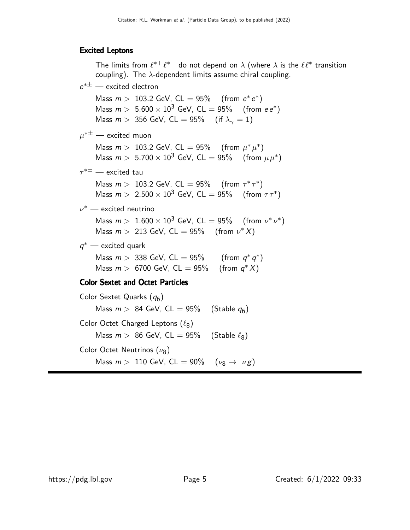#### Excited Leptons

The limits from  $\ell^{*+}\ell^{*-}$  do not depend on  $\lambda$  (where  $\lambda$  is the  $\ell\ell^*$  transition coupling). The  $\lambda$ -dependent limits assume chiral coupling.  $e^{*\pm}$  — excited electron Mass  $m > 103.2$  GeV,  $CL = 95\%$  (from  $e^* e^*$ ) Mass  $m > 5.600 \times 10^3$  GeV, CL  $= 95\%$  (from  $ee^*$ ) Mass  $m > 356$  GeV, CL = 95% (if  $\lambda_{\gamma} = 1$ )  $\mu^{*\pm}$  — excited muon Mass  $m > 103.2$  GeV, CL = 95% (from  $\mu^* \mu^*$ ) Mass  $m > 5.700 \times 10^3$  GeV, CL  $= 95\%$  (from  $\mu \mu^*$ )  $\tau^{*\pm}$  — excited tau Mass  $m > 103.2$  GeV, CL = 95% (from  $\tau^* \tau^*$ ) Mass  $m > 2.500 \times 10^3$  GeV, CL = 95% (from  $\tau \tau^*$ )  $\nu^{*}$  — excited neutrino Mass  $m > 1.600 \times 10^3$  GeV, CL  $= 95\%$  (from  $\nu^* \nu^*$ ) Mass  $m > 213$  GeV, CL = 95% (from  $\nu^* X$ )  $q^*$  — excited quark Mass  $m > 338$  GeV, CL = 95% (from  $q^* q^*$ ) Mass  $m > 6700$  GeV, CL = 95% (from  $q^* X$ ) Color Sextet and Octet Particles Color Sextet Quarks  $(q_6)$ Mass  $m > 84$  GeV, CL = 95% (Stable  $q_6$ ) Color Octet Charged Leptons  $(\ell_8)$ Mass  $m > 86$  GeV, CL = 95% (Stable  $\ell_8$ )

Color Octet Neutrinos  $(\nu_{8})$ 

Mass  $m > 110$  GeV, CL = 90%  $(\nu_8 \rightarrow \nu g)$